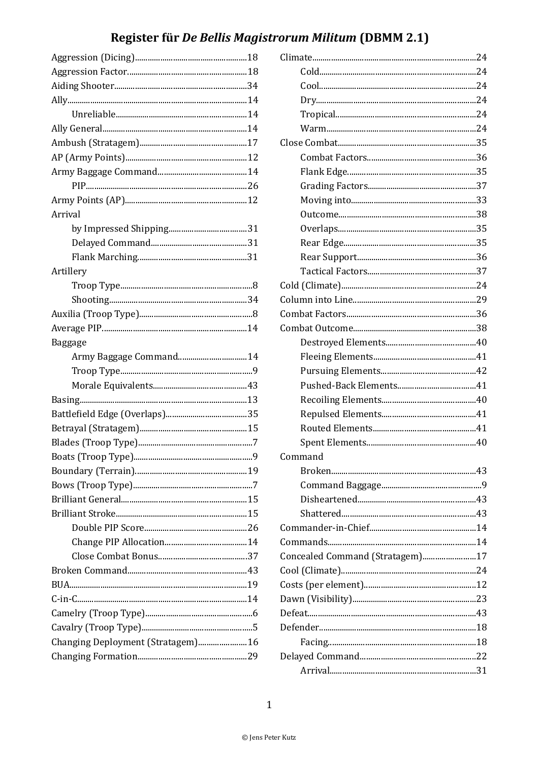## Register für De Bellis Magistrorum Militum (DBMM 2.1)

| Arrival                           |
|-----------------------------------|
|                                   |
|                                   |
|                                   |
| Artillery                         |
|                                   |
|                                   |
|                                   |
|                                   |
| Baggage                           |
| Army Baggage Command14            |
|                                   |
|                                   |
|                                   |
|                                   |
|                                   |
|                                   |
|                                   |
|                                   |
|                                   |
|                                   |
|                                   |
|                                   |
|                                   |
|                                   |
|                                   |
|                                   |
|                                   |
|                                   |
|                                   |
| Changing Deployment (Stratagem)16 |
|                                   |
|                                   |

| Command                         |
|---------------------------------|
|                                 |
|                                 |
|                                 |
|                                 |
|                                 |
|                                 |
| Concealed Command (Stratagem)17 |
|                                 |
|                                 |
|                                 |
|                                 |
|                                 |
|                                 |
|                                 |
|                                 |
|                                 |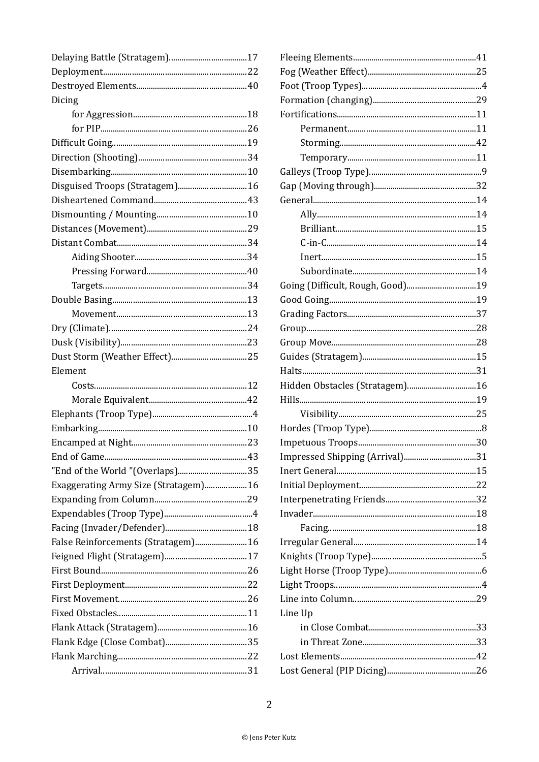| Dicing                               |  |
|--------------------------------------|--|
|                                      |  |
|                                      |  |
|                                      |  |
|                                      |  |
|                                      |  |
| Disguised Troops (Stratagem) 16      |  |
|                                      |  |
|                                      |  |
|                                      |  |
|                                      |  |
|                                      |  |
|                                      |  |
|                                      |  |
|                                      |  |
|                                      |  |
|                                      |  |
|                                      |  |
|                                      |  |
| Element                              |  |
|                                      |  |
|                                      |  |
|                                      |  |
|                                      |  |
|                                      |  |
|                                      |  |
| "End of the World "(Overlaps)35      |  |
| Exaggerating Army Size (Stratagem)16 |  |
|                                      |  |
|                                      |  |
|                                      |  |
| False Reinforcements (Stratagem)16   |  |
|                                      |  |
|                                      |  |
|                                      |  |
|                                      |  |
|                                      |  |
|                                      |  |
|                                      |  |
|                                      |  |
|                                      |  |
|                                      |  |

| Hidden Obstacles (Stratagem) 16 |
|---------------------------------|
|                                 |
|                                 |
|                                 |
|                                 |
| Impressed Shipping (Arrival)31  |
|                                 |
|                                 |
|                                 |
|                                 |
|                                 |
|                                 |
|                                 |
|                                 |
|                                 |
|                                 |
| Line Up                         |
|                                 |
|                                 |
|                                 |
|                                 |
|                                 |